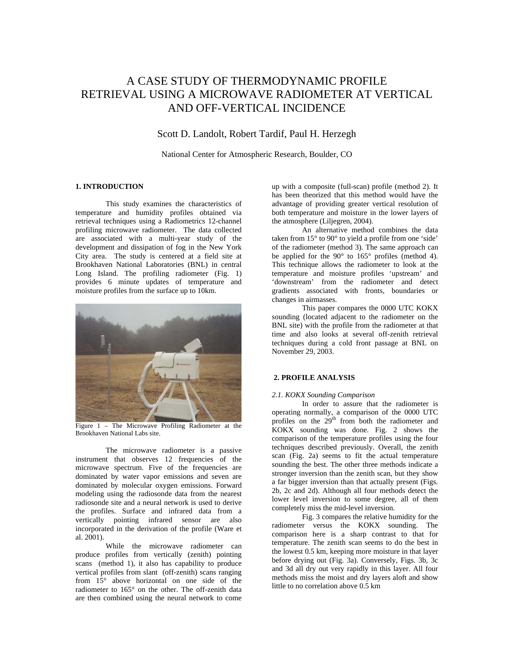# A CASE STUDY OF THERMODYNAMIC PROFILE RETRIEVAL USING A MICROWAVE RADIOMETER AT VERTICAL AND OFF-VERTICAL INCIDENCE

# Scott D. Landolt, Robert Tardif, Paul H. Herzegh

National Center for Atmospheric Research, Boulder, CO

# **1. INTRODUCTION**

 This study examines the characteristics of temperature and humidity profiles obtained via retrieval techniques using a Radiometrics 12-channel profiling microwave radiometer. The data collected are associated with a multi-year study of the development and dissipation of fog in the New York City area. The study is centered at a field site at Brookhaven National Laboratories (BNL) in central Long Island. The profiling radiometer (Fig. 1) provides 6 minute updates of temperature and moisture profiles from the surface up to 10km.



Figure 1 – The Microwave Profiling Radiometer at the Brookhaven National Labs site.

 The microwave radiometer is a passive instrument that observes 12 frequencies of the microwave spectrum. Five of the frequencies are dominated by water vapor emissions and seven are dominated by molecular oxygen emissions. Forward modeling using the radiosonde data from the nearest radiosonde site and a neural network is used to derive the profiles. Surface and infrared data from a vertically pointing infrared sensor are also incorporated in the derivation of the profile (Ware et al. 2001).

 While the microwave radiometer can produce profiles from vertically (zenith) pointing scans (method 1), it also has capability to produce vertical profiles from slant (off-zenith) scans ranging from 15° above horizontal on one side of the radiometer to 165° on the other. The off-zenith data are then combined using the neural network to come

up with a composite (full-scan) profile (method 2). It has been theorized that this method would have the advantage of providing greater vertical resolution of both temperature and moisture in the lower layers of the atmosphere (Liljegren, 2004).

 An alternative method combines the data taken from 15° to 90° to yield a profile from one 'side' of the radiometer (method 3). The same approach can be applied for the 90° to 165° profiles (method 4). This technique allows the radiometer to look at the temperature and moisture profiles 'upstream' and 'downstream' from the radiometer and detect gradients associated with fronts, boundaries or changes in airmasses.

 This paper compares the 0000 UTC KOKX sounding (located adjacent to the radiometer on the BNL site) with the profile from the radiometer at that time and also looks at several off-zenith retrieval techniques during a cold front passage at BNL on November 29, 2003.

### **2. PROFILE ANALYSIS**

#### *2.1. KOKX Sounding Comparison*

In order to assure that the radiometer is operating normally, a comparison of the 0000 UTC profiles on the  $29<sup>th</sup>$  from both the radiometer and KOKX sounding was done. Fig. 2 shows the comparison of the temperature profiles using the four techniques described previously. Overall, the zenith scan (Fig. 2a) seems to fit the actual temperature sounding the best. The other three methods indicate a stronger inversion than the zenith scan, but they show a far bigger inversion than that actually present (Figs. 2b, 2c and 2d). Although all four methods detect the lower level inversion to some degree, all of them completely miss the mid-level inversion.

 Fig. 3 compares the relative humidity for the radiometer versus the KOKX sounding. The comparison here is a sharp contrast to that for temperature. The zenith scan seems to do the best in the lowest 0.5 km, keeping more moisture in that layer before drying out (Fig. 3a). Conversely, Figs. 3b, 3c and 3d all dry out very rapidly in this layer. All four methods miss the moist and dry layers aloft and show little to no correlation above 0.5 km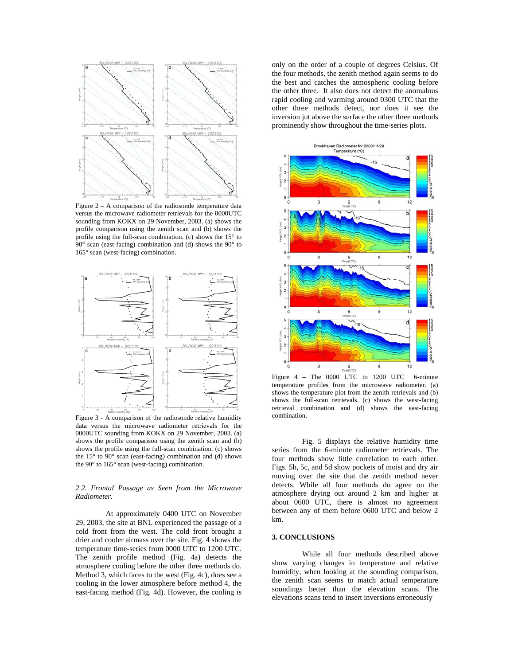

Figure 2 – A comparison of the radiosonde temperature data versus the microwave radiometer retrievals for the 0000UTC sounding from KOKX on 29 November, 2003. (a) shows the profile comparison using the zenith scan and (b) shows the profile using the full-scan combination. (c) shows the 15° to 90° scan (east-facing) combination and (d) shows the 90° to 165° scan (west-facing) combination.



Figure 3 - A comparison of the radiosonde relative humidity data versus the microwave radiometer retrievals for the 0000UTC sounding from KOKX on 29 November, 2003. (a) shows the profile comparison using the zenith scan and (b) shows the profile using the full-scan combination. (c) shows the 15° to 90° scan (east-facing) combination and (d) shows the 90° to 165° scan (west-facing) combination.

# *2.2. Frontal Passage as Seen from the Microwave Radiometer.*

At approximately 0400 UTC on November 29, 2003, the site at BNL experienced the passage of a cold front from the west. The cold front brought a drier and cooler airmass over the site. Fig. 4 shows the temperature time-series from 0000 UTC to 1200 UTC. The zenith profile method (Fig. 4a) detects the atmosphere cooling before the other three methods do. Method 3, which faces to the west (Fig. 4c), does see a cooling in the lower atmosphere before method 4, the east-facing method (Fig. 4d). However, the cooling is only on the order of a couple of degrees Celsius. Of the four methods, the zenith method again seems to do the best and catches the atmospheric cooling before the other three. It also does not detect the anomalous rapid cooling and warming around 0300 UTC that the other three methods detect, nor does it see the inversion jut above the surface the other three methods prominently show throughout the time-series plots.



Figure  $4$  – The 0000 UTC to 1200 UTC 6-minute temperature profiles from the microwave radiometer. (a) shows the temperature plot from the zenith retrievals and (b) shows the full-scan retrievals. (c) shows the west-facing retrieval combination and (d) shows the east-facing combination.

 Fig. 5 displays the relative humidity time series from the 6-minute radiometer retrievals. The four methods show little correlation to each other. Figs. 5b, 5c, and 5d show pockets of moist and dry air moving over the site that the zenith method never detects. While all four methods do agree on the atmosphere drying out around 2 km and higher at about 0600 UTC, there is almost no agreement between any of them before 0600 UTC and below 2 km.

# **3. CONCLUSIONS**

 While all four methods described above show varying changes in temperature and relative humidity, when looking at the sounding comparison, the zenith scan seems to match actual temperature soundings better than the elevation scans. The elevations scans tend to insert inversions erroneously